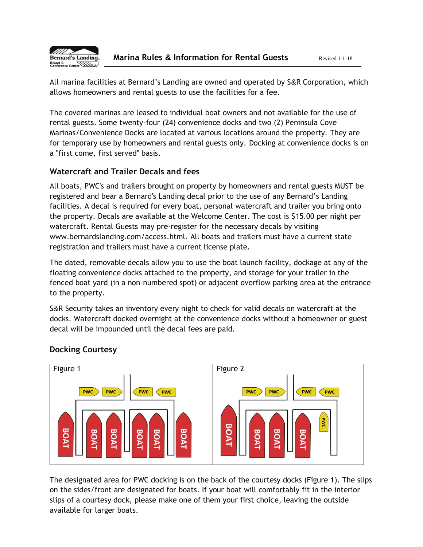

All marina facilities at Bernard's Landing are owned and operated by S&R Corporation, which allows homeowners and rental guests to use the facilities for a fee.

The covered marinas are leased to individual boat owners and not available for the use of rental guests. Some twenty-four (24) convenience docks and two (2) Peninsula Cove Marinas/Convenience Docks are located at various locations around the property. They are for temporary use by homeowners and rental guests only. Docking at convenience docks is on a "first come, first served" basis.

#### **Watercraft and Trailer Decals and fees**

All boats, PWC's and trailers brought on property by homeowners and rental guests MUST be registered and bear a Bernard's Landing decal prior to the use of any Bernard's Landing facilities. A decal is required for every boat, personal watercraft and trailer you bring onto the property. Decals are available at the Welcome Center. The cost is \$15.00 per night per watercraft. Rental Guests may pre-register for the necessary decals by visiting www.bernardslanding.com/access.html. All boats and trailers must have a current state registration and trailers must have a current license plate.

The dated, removable decals allow you to use the boat launch facility, dockage at any of the floating convenience docks attached to the property, and storage for your trailer in the fenced boat yard (in a non-numbered spot) or adjacent overflow parking area at the entrance to the property.

S&R Security takes an inventory every night to check for valid decals on watercraft at the docks. Watercraft docked overnight at the convenience docks without a homeowner or guest decal will be impounded until the decal fees are paid.



# **Docking Courtesy**

The designated area for PWC docking is on the back of the courtesy docks (Figure 1). The slips on the sides/front are designated for boats. If your boat will comfortably fit in the interior slips of a courtesy dock, please make one of them your first choice, leaving the outside available for larger boats.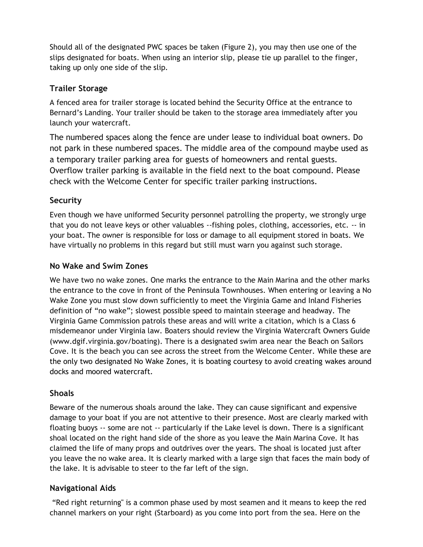Should all of the designated PWC spaces be taken (Figure 2), you may then use one of the slips designated for boats. When using an interior slip, please tie up parallel to the finger, taking up only one side of the slip.

### **Trailer Storage**

A fenced area for trailer storage is located behind the Security Office at the entrance to Bernard's Landing. Your trailer should be taken to the storage area immediately after you launch your watercraft.

The numbered spaces along the fence are under lease to individual boat owners. Do not park in these numbered spaces. The middle area of the compound maybe used as a temporary trailer parking area for guests of homeowners and rental guests. Overflow trailer parking is available in the field next to the boat compound. Please check with the Welcome Center for specific trailer parking instructions.

### **Security**

Even though we have uniformed Security personnel patrolling the property, we strongly urge that you do not leave keys or other valuables --fishing poles, clothing, accessories, etc. -- in your boat. The owner is responsible for loss or damage to all equipment stored in boats. We have virtually no problems in this regard but still must warn you against such storage.

#### **No Wake and Swim Zones**

We have two no wake zones. One marks the entrance to the Main Marina and the other marks the entrance to the cove in front of the Peninsula Townhouses. When entering or leaving a No Wake Zone you must slow down sufficiently to meet the Virginia Game and Inland Fisheries definition of "no wake"; slowest possible speed to maintain steerage and headway. The Virginia Game Commission patrols these areas and will write a citation, which is a Class 6 misdemeanor under Virginia law. Boaters should review the Virginia Watercraft Owners Guide (www.dgif.virginia.gov/boating). There is a designated swim area near the Beach on Sailors Cove. It is the beach you can see across the street from the Welcome Center. While these are the only two designated No Wake Zones, it is boating courtesy to avoid creating wakes around docks and moored watercraft.

#### **Shoals**

Beware of the numerous shoals around the lake. They can cause significant and expensive damage to your boat if you are not attentive to their presence. Most are clearly marked with floating buoys -- some are not -- particularly if the Lake level is down. There is a significant shoal located on the right hand side of the shore as you leave the Main Marina Cove. It has claimed the life of many props and outdrives over the years. The shoal is located just after you leave the no wake area. It is clearly marked with a large sign that faces the main body of the lake. It is advisable to steer to the far left of the sign.

#### **Navigational Aids**

"Red right returning" is a common phase used by most seamen and it means to keep the red channel markers on your right (Starboard) as you come into port from the sea. Here on the